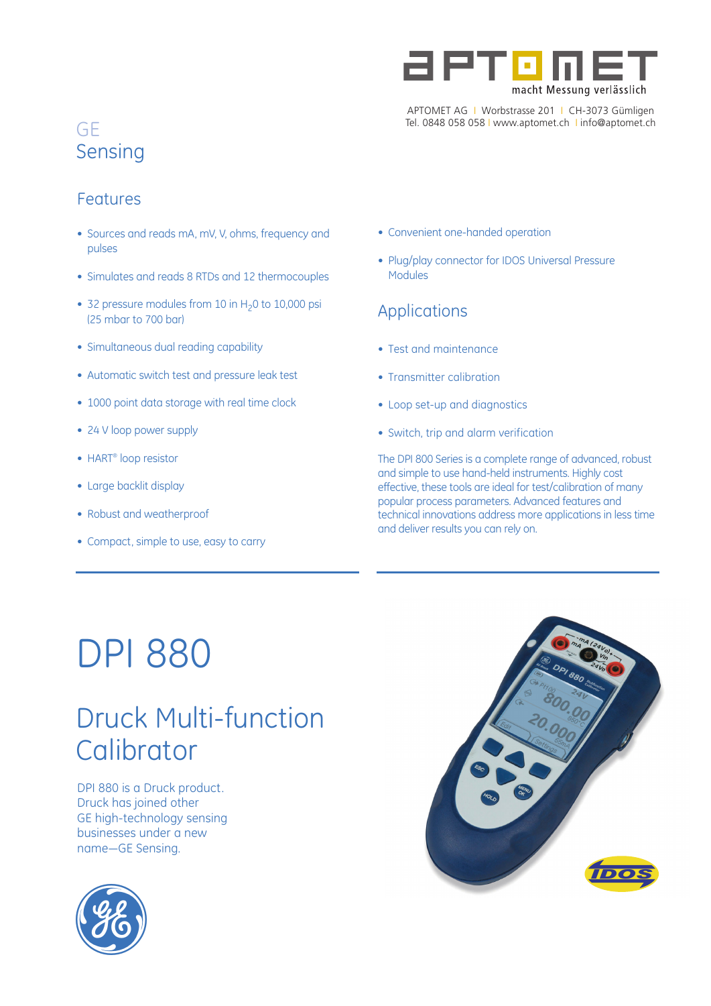

APTOMET AG I Worbstrasse 201 I CH-3073 Gümligen Tel. 0848 058 058 I www.aptomet.ch I info@aptomet.ch

## GE **Sensing**

## Features

- Sources and reads mA, mV, V, ohms, frequency and pulses
- Simulates and reads 8 RTDs and 12 thermocouples
- 32 pressure modules from 10 in  $H<sub>2</sub>0$  to 10,000 psi (25 mbar to 700 bar)
- Simultaneous dual reading capability
- Automatic switch test and pressure leak test
- 1000 point data storage with real time clock
- 24 V loop power supply
- HART® loop resistor
- Large backlit display
- Robust and weatherproof
- Compact, simple to use, easy to carry
- Convenient one-handed operation
- Plug/play connector for IDOS Universal Pressure Modules

## Applications

- Test and maintenance
- Transmitter calibration
- Loop set-up and diagnostics
- Switch, trip and alarm verification

The DPI 800 Series is a complete range of advanced, robust and simple to use hand-held instruments. Highly cost effective, these tools are ideal for test/calibration of many popular process parameters. Advanced features and technical innovations address more applications in less time and deliver results you can rely on.

## DPI 880

## Druck Multi-function **Calibrator**

DPI 880 is a Druck product. Druck has joined other GE high-technology sensing businesses under a new name—GE Sensing.



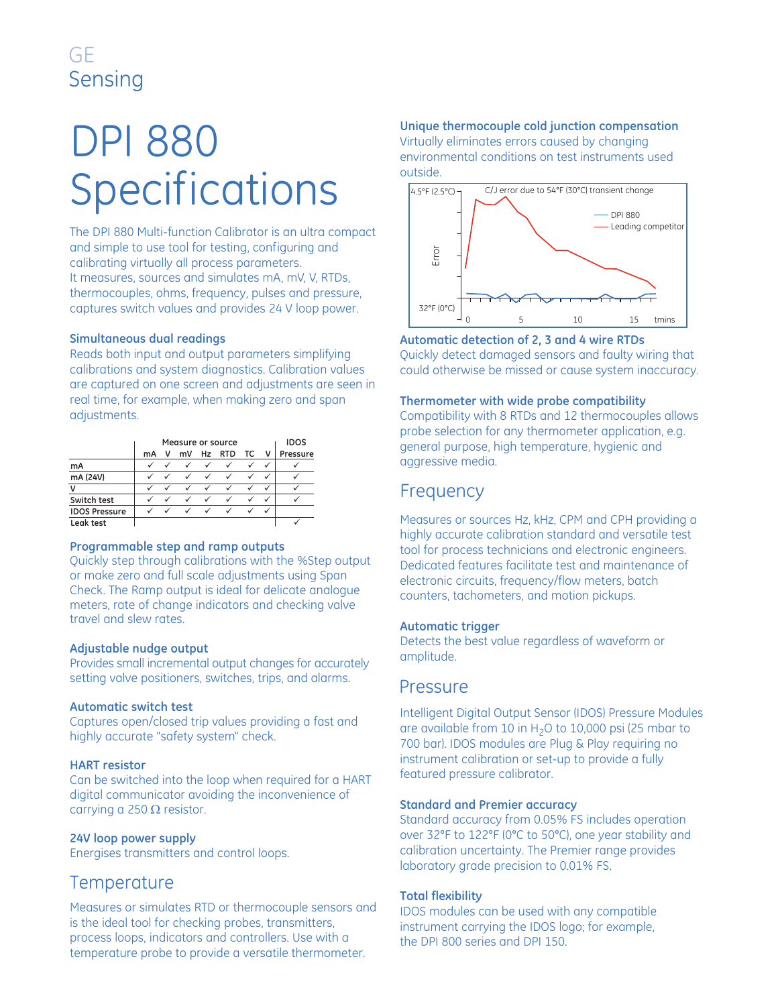## GE Sensing

# DPI 880 Specifications

The DPI 880 Multi-function Calibrator is an ultra compact and simple to use tool for testing, configuring and calibrating virtually all process parameters. It measures, sources and simulates mA, mV, V, RTDs, thermocouples, ohms, frequency, pulses and pressure, captures switch values and provides 24 V loop power.

#### **Simultaneous dual readings**

Reads both input and output parameters simplifying calibrations and system diagnostics. Calibration values are captured on one screen and adjustments are seen in real time, for example, when making zero and span adjustments.

|                      | Measure or source |  |              |              |            |              |          | <b>IDOS</b> |
|----------------------|-------------------|--|--------------|--------------|------------|--------------|----------|-------------|
|                      | mA                |  | mV           | Hz           | <b>RTD</b> | TC.          | <b>V</b> | Pressure    |
| mA                   |                   |  | ✓            | $\checkmark$ |            | ✓            | ✓        |             |
| mA (24V)             |                   |  | ✓            |              |            | $\checkmark$ | ✓        |             |
| v                    |                   |  |              |              |            |              |          |             |
| Switch test          |                   |  | ✓            | $\checkmark$ |            | ✓            | ✓        |             |
| <b>IDOS Pressure</b> |                   |  | $\checkmark$ | $\checkmark$ |            | ✓            |          |             |
| Leak test            |                   |  |              |              |            |              |          |             |

#### **Programmable step and ramp outputs**

Quickly step through calibrations with the %Step output or make zero and full scale adjustments using Span Check. The Ramp output is ideal for delicate analogue meters, rate of change indicators and checking valve travel and slew rates.

#### **Adjustable nudge output**

Provides small incremental output changes for accurately setting valve positioners, switches, trips, and alarms.

#### **Automatic switch test**

Captures open/closed trip values providing a fast and highly accurate "safety system" check.

#### **HART resistor**

Can be switched into the loop when required for a HART digital communicator avoiding the inconvenience of carrying a 250  $\Omega$  resistor.

#### **24V loop power supply**

Energises transmitters and control loops.

### **Temperature**

Measures or simulates RTD or thermocouple sensors and is the ideal tool for checking probes, transmitters, process loops, indicators and controllers. Use with a temperature probe to provide a versatile thermometer.

## **Unique thermocouple cold junction compensation**

Virtually eliminates errors caused by changing environmental conditions on test instruments used outside.



**Automatic detection of 2, 3 and 4 wire RTDs** Quickly detect damaged sensors and faulty wiring that could otherwise be missed or cause system inaccuracy.

#### **Thermometer with wide probe compatibility**

Compatibility with 8 RTDs and 12 thermocouples allows probe selection for any thermometer application, e.g. general purpose, high temperature, hygienic and aggressive media.

## **Frequency**

Measures or sources Hz, kHz, CPM and CPH providing a highly accurate calibration standard and versatile test tool for process technicians and electronic engineers. Dedicated features facilitate test and maintenance of electronic circuits, frequency/flow meters, batch counters, tachometers, and motion pickups.

#### **Automatic trigger**

Detects the best value regardless of waveform or amplitude.

#### Pressure

Intelligent Digital Output Sensor (IDOS) Pressure Modules are available from 10 in  $H<sub>2</sub>O$  to 10,000 psi (25 mbar to 700 bar). IDOS modules are Plug & Play requiring no instrument calibration or set-up to provide a fully featured pressure calibrator.

#### **Standard and Premier accuracy**

Standard accuracy from 0.05% FS includes operation over 32°F to 122°F (0°C to 50°C), one year stability and calibration uncertainty. The Premier range provides laboratory grade precision to 0.01% FS.

#### **Total flexibility**

IDOS modules can be used with any compatible instrument carrying the IDOS logo; for example, the DPI 800 series and DPI 150.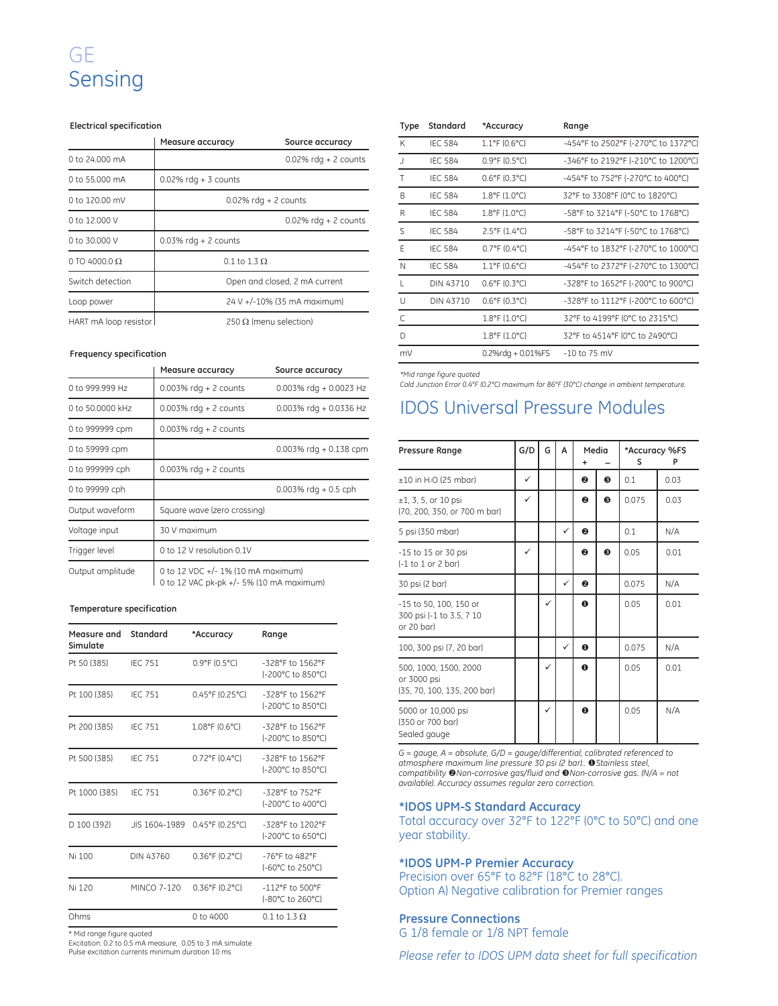## GE Sensing

#### **Electrical specification**

|                       | Measure accuracy        | Source accuracy               |
|-----------------------|-------------------------|-------------------------------|
| 0 to 24,000 mA        |                         | $0.02\%$ rdg + 2 counts       |
| 0 to 55,000 mA        | $0.02\%$ rdg + 3 counts |                               |
| 0 to 120.00 mV        |                         | $0.02\%$ rdg + 2 counts       |
| 0 to 12,000 V         |                         | $0.02\%$ rdg + 2 counts       |
| 0 to 30,000 V         | $0.03\%$ rdg + 2 counts |                               |
| 0 TO 4000.0 $\Omega$  | 0.1 to 1.3 $\Omega$     |                               |
| Switch detection      |                         | Open and closed, 2 mA current |
| Loop power            |                         | 24 V +/-10% (35 mA maximum)   |
| HART mA loop resistor |                         | 250 $\Omega$ (menu selection) |

#### **Frequency specification**

|                  | Measure accuracy                                                               | Source accuracy           |  |  |
|------------------|--------------------------------------------------------------------------------|---------------------------|--|--|
| 0 to 999.999 Hz  | $0.003\%$ rdg + 2 counts                                                       | $0.003\%$ rdg + 0.0023 Hz |  |  |
| 0 to 50,0000 kHz | $0.003\%$ rdg + 2 counts                                                       | 0.003% rdg + 0.0336 Hz    |  |  |
| 0 to 999999 cpm  | $0.003\%$ rdg + 2 counts                                                       |                           |  |  |
| 0 to 59999 cpm   |                                                                                | $0.003\%$ rdg + 0.138 cpm |  |  |
| 0 to 999999 cph  | $0.003\%$ rdg + 2 counts                                                       |                           |  |  |
| 0 to 99999 cph   |                                                                                | $0.003\%$ rdg + 0.5 cph   |  |  |
| Output waveform  | Square wave (zero crossing)                                                    |                           |  |  |
| Voltage input    | 30 V maximum                                                                   |                           |  |  |
| Trigger level    | 0 to 12 V resolution 0.1V                                                      |                           |  |  |
| Output amplitude | 0 to 12 VDC +/- 1% (10 mA maximum)<br>0 to 12 VAC pk-pk +/- 5% (10 mA maximum) |                           |  |  |

#### **Temperature specification**

| Measure and<br>Simulate | Standard           | *Accuracy                            | Range                                                   |
|-------------------------|--------------------|--------------------------------------|---------------------------------------------------------|
| Pt 50 (385)             | <b>IEC 751</b>     | $0.9^{\circ}$ F (0.5 $^{\circ}$ C)   | -328°F to 1562°F<br>(-200°C to 850°C)                   |
| Pt 100 (385)            | <b>IEC 751</b>     | $0.45^{\circ}$ F (0.25 $^{\circ}$ C) | -328°F to 1562°F<br>(-200°C to 850°C)                   |
| Pt 200 (385)            | <b>IEC 751</b>     | 1.08°F (0.6°C)                       | -328°F to 1562°F<br>(-200°C to 850°C)                   |
| Pt 500 (385)            | <b>IEC 751</b>     | $0.72^{\circ}$ F (0.4 $^{\circ}$ C)  | -328°F to 1562°F<br>(-200°C to 850°C)                   |
| Pt 1000 (385)           | <b>IEC 751</b>     | $0.36^{\circ}$ F (0.2 $^{\circ}$ C)  | -328°F to 752°F<br>(-200°C to 400°C)                    |
| D 100 (392)             |                    | JIS 1604-1989 0.45°F (0.25°C)        | -328°F to 1202°F<br>(-200°C to 650°C)                   |
| Ni 100                  | DIN 43760          | 0.36°F (0.2°C)                       | -76°F to 482°F<br>(-60°C to 250°C)                      |
| Ni 120                  | <b>MINCO 7-120</b> | $0.36^{\circ}$ F (0.2 $^{\circ}$ C)  | $-112^{\circ}$ F to $500^{\circ}$ F<br>(-80°C to 260°C) |
| Ohms                    |                    | $0$ to $4000$                        | 0.1 to 1.3 $\Omega$                                     |

\* Mid range figure quoted

Excitation: 0.2 to 0.5 mA measure, 0.05 to 3 mA simulate Pulse excitation currents minimum duration 10 ms

| <b>Type</b> | Standard       | *Accuracy                          | Range                               |
|-------------|----------------|------------------------------------|-------------------------------------|
| К           | <b>IEC 584</b> | $1.1^{\circ}$ F (0.6°C)            | -454°F to 2502°F (-270°C to 1372°C) |
|             | <b>IEC 584</b> | $0.9^{\circ}$ F (0.5 $^{\circ}$ C) | -346°F to 2192°F (-210°C to 1200°C) |
| Т           | <b>IEC 584</b> | $0.6^{\circ}$ F (0.3 $^{\circ}$ C) | -454°F to 752°F (-270°C to 400°C)   |
| B           | <b>IEC 584</b> | $1.8^{\circ}$ F (1.0 $^{\circ}$ C) | 32°F to 3308°F (0°C to 1820°C)      |
| R           | <b>IEC 584</b> | 1.8°F (1.0°C)                      | -58°F to 3214°F (-50°C to 1768°C)   |
| S           | <b>IEC 584</b> | $2.5^{\circ}$ F (1.4 $^{\circ}$ C) | -58°F to 3214°F (-50°C to 1768°C)   |
| F           | <b>IEC 584</b> | $0.7^{\circ}$ F (0.4 $^{\circ}$ C) | -454°F to 1832°F (-270°C to 1000°C) |
| N           | <b>IEC 584</b> | $1.1^{\circ}$ F (0.6 $^{\circ}$ C) | -454°F to 2372°F (-270°C to 1300°C) |
|             | DIN 43710      | $0.6^{\circ}$ F (0.3 $^{\circ}$ C) | -328°F to 1652°F (-200°C to 900°C)  |
| U           | DIN 43710      | $0.6^{\circ}$ F (0.3 $^{\circ}$ C) | -328°F to 1112°F (-200°C to 600°C)  |
| С           |                | 1.8°F (1.0°C)                      | 32°F to 4199°F (0°C to 2315°C)      |
| D           |                | $1.8^{\circ}$ F (1.0 $^{\circ}$ C) | 32°F to 4514°F (0°C to 2490°C)      |
| mV          |                | $0.2\%$ rdg + $0.01\%$ FS          | $-10$ to 75 mV                      |

*\*Mid range figure quoted*

*Cold Junction Error 0.4°F (0.2°C) maximum for 86°F (30°C) change in ambient temperature.* 

## IDOS Universal Pressure Modules

| <b>Pressure Range</b>                                               | G/D          | G | A            | Media       |   | *Accuracy %FS<br>s<br>P |      |
|---------------------------------------------------------------------|--------------|---|--------------|-------------|---|-------------------------|------|
| $\pm 10$ in H <sub>2</sub> O (25 mbar)                              |              |   |              | 0           | 6 | 0.1                     | 0.03 |
| $±1, 3, 5,$ or 10 psi<br>(70, 200, 350, or 700 m bar)               | $\checkmark$ |   |              | ℯ           | ❺ | 0.075                   | 0.03 |
| 5 psi (350 mbar)                                                    |              |   | $\checkmark$ | ❷           |   | 0.1                     | N/A  |
| -15 to 15 or 30 psi<br>$(-1)$ to 1 or 2 bar)                        | ✓            |   |              | 0           | ❸ | 0.05                    | 0.01 |
| 30 psi (2 bar)                                                      |              |   | $\checkmark$ | ❷           |   | 0.075                   | N/A  |
| -15 to 50, 100, 150 or<br>300 psi (-1 to 3.5, 7 10<br>or 20 bar)    |              | ✓ |              | $\mathbf 0$ |   | 0.05                    | 0.01 |
| 100, 300 psi (7, 20 bar)                                            |              |   | ✓            | $\bf o$     |   | 0.075                   | N/A  |
| 500, 1000, 1500, 2000<br>or 3000 psi<br>(35, 70, 100, 135, 200 bar) |              | ✓ |              | $\mathbf 0$ |   | 0.05                    | 0.01 |
| 5000 or 10,000 psi<br>(350 or 700 bar)<br>Sealed gauge              |              | ✓ |              | $\mathbf o$ |   | 0.05                    | N/A  |

*G = gauge, A = absolute, G/D = gauge/differential; calibrated referenced to atmosphere maximum line pressure 30 psi (2 bar).. Stainless steel, compatibility* -*Non-corrosive gas/fluid and Non-corrosive gas. (N/A = not available). Accuracy assumes regular zero correction.*

#### **\*IDOS UPM-S Standard Accuracy**

Total accuracy over 32°F to 122°F (0°C to 50°C) and one year stability.

#### **\*IDOS UPM-P Premier Accuracy**

Precision over 65°F to 82°F (18°C to 28°C). Option A) Negative calibration for Premier ranges

#### **Pressure Connections**

G 1/8 female or 1/8 NPT female

*Please refer to IDOS UPM data sheet for full specification*